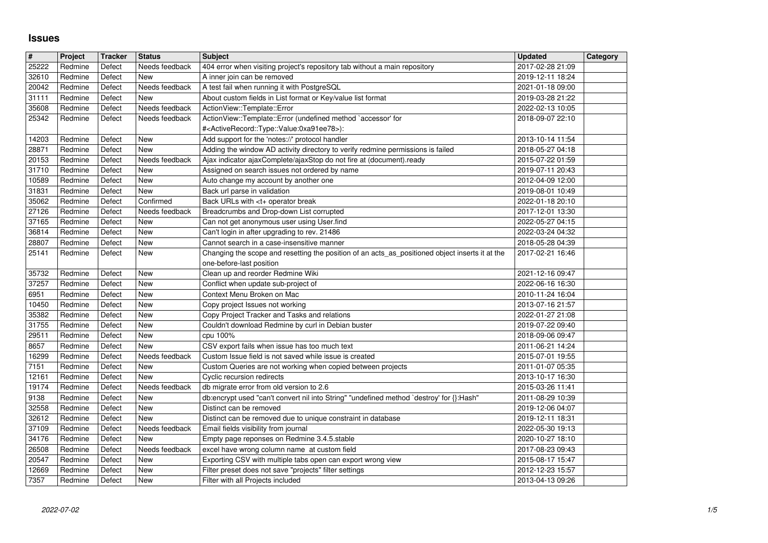## **Issues**

| $\overline{\boldsymbol{H}}$ | Project            | <b>Tracker</b>   | <b>Status</b>                | <b>Subject</b>                                                                                                                              | <b>Updated</b>                       | Category |
|-----------------------------|--------------------|------------------|------------------------------|---------------------------------------------------------------------------------------------------------------------------------------------|--------------------------------------|----------|
| 25222                       | Redmine            | Defect           | Needs feedback               | 404 error when visiting project's repository tab without a main repository                                                                  | 2017-02-28 21:09                     |          |
| 32610<br>20042              | Redmine<br>Redmine | Defect<br>Defect | New<br>Needs feedback        | A inner join can be removed<br>A test fail when running it with PostgreSQL                                                                  | 2019-12-11 18:24<br>2021-01-18 09:00 |          |
| 31111                       | Redmine            | Defect           | New                          | About custom fields in List format or Key/value list format                                                                                 | 2019-03-28 21:22                     |          |
| 35608                       | Redmine            | Defect           | Needs feedback               | ActionView::Template::Error                                                                                                                 | 2022-02-13 10:05                     |          |
| 25342                       | Redmine            | Defect           | Needs feedback               | ActionView::Template::Error (undefined method `accessor' for                                                                                | 2018-09-07 22:10                     |          |
| 14203                       | Redmine            | Defect           | New                          | # <activerecord::type::value:0xa91ee78>):<br/>Add support for the 'notes://' protocol handler</activerecord::type::value:0xa91ee78>         | 2013-10-14 11:54                     |          |
| 28871                       | Redmine            | Defect           | New                          | Adding the window AD activity directory to verify redmine permissions is failed                                                             | 2018-05-27 04:18                     |          |
| 20153                       | Redmine            | Defect           | Needs feedback               | Ajax indicator ajaxComplete/ajaxStop do not fire at (document).ready                                                                        | 2015-07-22 01:59                     |          |
| 31710                       | Redmine            | Defect           | New                          | Assigned on search issues not ordered by name                                                                                               | 2019-07-11 20:43                     |          |
| 10589                       | Redmine            | Defect           | <b>New</b>                   | Auto change my account by another one                                                                                                       | 2012-04-09 12:00                     |          |
| 31831<br>35062              | Redmine<br>Redmine | Defect<br>Defect | New<br>Confirmed             | Back url parse in validation<br>Back URLs with <t+ break<="" operator="" td=""><td>2019-08-01 10:49<br/>2022-01-18 20:10</td><td></td></t+> | 2019-08-01 10:49<br>2022-01-18 20:10 |          |
| 27126                       | Redmine            | Defect           | Needs feedback               | Breadcrumbs and Drop-down List corrupted                                                                                                    | 2017-12-01 13:30                     |          |
| 37165                       | Redmine            | Defect           | New                          | Can not get anonymous user using User.find                                                                                                  | 2022-05-27 04:15                     |          |
| 36814<br>28807              | Redmine<br>Redmine | Defect<br>Defect | New<br>New                   | Can't login in after upgrading to rev. 21486<br>Cannot search in a case-insensitive manner                                                  | 2022-03-24 04:32<br>2018-05-28 04:39 |          |
| 25141                       | Redmine            | Defect           | <b>New</b>                   | Changing the scope and resetting the position of an acts_as_positioned object inserts it at the<br>one-before-last position                 | 2017-02-21 16:46                     |          |
| 35732                       | Redmine            | Defect           | <b>New</b>                   | Clean up and reorder Redmine Wiki                                                                                                           | 2021-12-16 09:47                     |          |
| 37257                       | Redmine            | Defect           | New                          | Conflict when update sub-project of                                                                                                         | 2022-06-16 16:30                     |          |
| 6951<br>10450               | Redmine<br>Redmine | Defect<br>Defect | <b>New</b><br><b>New</b>     | Context Menu Broken on Mac<br>Copy project Issues not working                                                                               | 2010-11-24 16:04<br>2013-07-16 21:57 |          |
| 35382                       | Redmine            | Defect           | New                          | Copy Project Tracker and Tasks and relations                                                                                                | 2022-01-27 21:08                     |          |
| 31755                       | Redmine            | Defect           | New                          | Couldn't download Redmine by curl in Debian buster                                                                                          | 2019-07-22 09:40                     |          |
| 29511                       | Redmine            | Defect           | New                          | cpu 100%                                                                                                                                    | 2018-09-06 09:47                     |          |
| 8657<br>16299               | Redmine<br>Redmine | Defect<br>Defect | <b>New</b><br>Needs feedback | CSV export fails when issue has too much text<br>Custom Issue field is not saved while issue is created                                     | 2011-06-21 14:24<br>2015-07-01 19:55 |          |
| 7151                        | Redmine            | Defect           | New                          | Custom Queries are not working when copied between projects                                                                                 | 2011-01-07 05:35                     |          |
| 12161                       | Redmine            | Defect           | New                          | Cyclic recursion redirects                                                                                                                  | 2013-10-17 16:30                     |          |
| 19174                       | Redmine            | Defect           | Needs feedback               | db migrate error from old version to 2.6                                                                                                    | 2015-03-26 11:41                     |          |
| 9138<br>32558               | Redmine<br>Redmine | Defect<br>Defect | New<br>New                   | db:encrypt used "can't convert nil into String" "undefined method `destroy' for {}:Hash"<br>Distinct can be removed                         | 2011-08-29 10:39<br>2019-12-06 04:07 |          |
| 32612                       | Redmine            | Defect           | New                          | Distinct can be removed due to unique constraint in database                                                                                | 2019-12-11 18:31                     |          |
| 37109                       | Redmine            | Defect           | Needs feedback               | Email fields visibility from journal                                                                                                        | 2022-05-30 19:13                     |          |
| 34176<br>26508              | Redmine<br>Redmine | Defect<br>Defect | New<br>Needs feedback        | Empty page reponses on Redmine 3.4.5.stable<br>excel have wrong column name at custom field                                                 | 2020-10-27 18:10<br>2017-08-23 09:43 |          |
| 20547                       | Redmine            | Defect           | New                          | Exporting CSV with multiple tabs open can export wrong view                                                                                 | 2015-08-17 15:47                     |          |
| 12669<br>7357               | Redmine<br>Redmine | Defect<br>Defect | New<br>New                   | Filter preset does not save "projects" filter settings<br>Filter with all Projects included                                                 | 2012-12-23 15:57<br>2013-04-13 09:26 |          |
|                             |                    |                  |                              |                                                                                                                                             |                                      |          |
|                             |                    |                  |                              |                                                                                                                                             |                                      |          |
|                             |                    |                  |                              |                                                                                                                                             |                                      |          |
|                             |                    |                  |                              |                                                                                                                                             |                                      |          |
|                             |                    |                  |                              |                                                                                                                                             |                                      |          |
|                             |                    |                  |                              |                                                                                                                                             |                                      |          |
|                             |                    |                  |                              |                                                                                                                                             |                                      |          |
|                             |                    |                  |                              |                                                                                                                                             |                                      |          |
|                             |                    |                  |                              |                                                                                                                                             |                                      |          |
|                             |                    |                  |                              |                                                                                                                                             |                                      |          |
|                             |                    |                  |                              |                                                                                                                                             |                                      |          |
|                             |                    |                  |                              |                                                                                                                                             |                                      |          |
|                             |                    |                  |                              |                                                                                                                                             |                                      |          |
|                             |                    |                  |                              |                                                                                                                                             |                                      |          |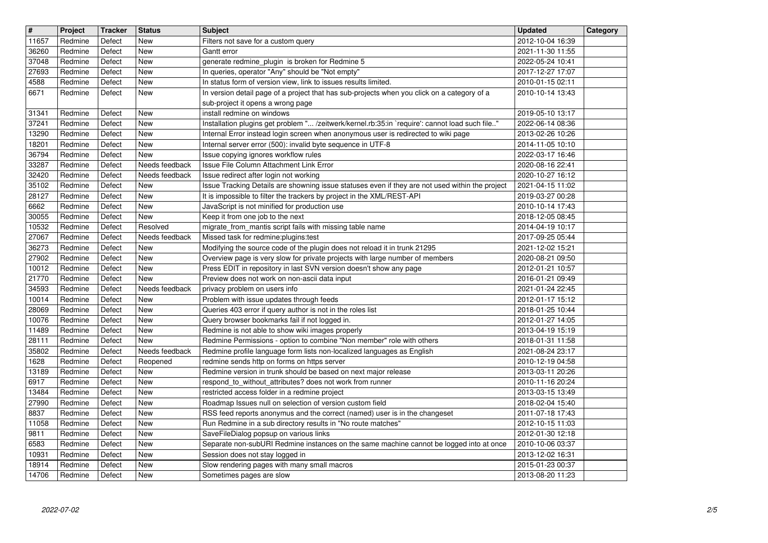| $\overline{\mathbf{H}}$ | Project            | <b>Tracker</b>   | <b>Status</b>                    | <b>Subject</b>                                                                                                                                            | <b>Updated</b>                       | Category |
|-------------------------|--------------------|------------------|----------------------------------|-----------------------------------------------------------------------------------------------------------------------------------------------------------|--------------------------------------|----------|
| 11657<br>36260          | Redmine<br>Redmine | Defect<br>Defect | <b>New</b><br><b>New</b>         | Filters not save for a custom query<br>Gantt error                                                                                                        | 2012-10-04 16:39<br>2021-11-30 11:55 |          |
| 37048                   | Redmine<br>Redmine | Defect           | <b>New</b>                       | generate redmine_plugin is broken for Redmine 5                                                                                                           | 2022-05-24 10:41                     |          |
| 27693<br>4588           | Redmine            | Defect<br>Defect | <b>New</b><br><b>New</b>         | In queries, operator "Any" should be "Not empty"<br>In status form of version view, link to issues results limited.                                       | 2017-12-27 17:07<br>2010-01-15 02:11 |          |
| 6671                    | Redmine            | Defect           | <b>New</b>                       | In version detail page of a project that has sub-projects when you click on a category of a                                                               | 2010-10-14 13:43                     |          |
| 31341                   | Redmine            | Defect           | <b>New</b>                       | sub-project it opens a wrong page<br>install redmine on windows                                                                                           | 2019-05-10 13:17                     |          |
| 37241                   | Redmine            | Defect           | <b>New</b>                       | Installation plugins get problem " /zeitwerk/kernel.rb:35:in `require': cannot load such file"                                                            | 2022-06-14 08:36                     |          |
| 13290<br>18201          | Redmine<br>Redmine | Defect<br>Defect | <b>New</b><br><b>New</b>         | Internal Error instead login screen when anonymous user is redirected to wiki page<br>Internal server error (500): invalid byte sequence in UTF-8         | 2013-02-26 10:26<br>2014-11-05 10:10 |          |
| 36794                   | Redmine            | Defect           | <b>New</b>                       | Issue copying ignores workflow rules                                                                                                                      | 2022-03-17 16:46                     |          |
| 33287<br>32420          | Redmine<br>Redmine | Defect<br>Defect | Needs feedback<br>Needs feedback | Issue File Column Attachment Link Error<br>Issue redirect after login not working                                                                         | 2020-08-16 22:41<br>2020-10-27 16:12 |          |
| 35102                   | Redmine            | Defect           | <b>New</b>                       | Issue Tracking Details are showning issue statuses even if they are not used within the project                                                           | 2021-04-15 11:02                     |          |
| 28127<br>6662           | Redmine<br>Redmine | Defect<br>Defect | New<br><b>New</b>                | It is impossible to filter the trackers by project in the XML/REST-API<br>JavaScript is not minified for production use                                   | 2019-03-27 00:28<br>2010-10-14 17:43 |          |
| 30055                   | Redmine            | Defect           | <b>New</b><br>Resolved           | Keep it from one job to the next                                                                                                                          | 2018-12-05 08:45                     |          |
| 10532<br>27067          | Redmine<br>Redmine | Defect<br>Defect | Needs feedback                   | migrate_from_mantis script fails with missing table name<br>Missed task for redmine: plugins: test                                                        | 2014-04-19 10:17<br>2017-09-25 05:44 |          |
| 36273<br>27902          | Redmine<br>Redmine | Defect<br>Defect | <b>New</b><br><b>New</b>         | Modifying the source code of the plugin does not reload it in trunk 21295<br>Overview page is very slow for private projects with large number of members | 2021-12-02 15:21<br>2020-08-21 09:50 |          |
| 10012                   | Redmine            | Defect           | New                              | Press EDIT in repository in last SVN version doesn't show any page                                                                                        | 2012-01-21 10:57                     |          |
| 21770<br>34593          | Redmine<br>Redmine | Defect<br>Defect | New<br>Needs feedback            | Preview does not work on non-ascii data input<br>privacy problem on users info                                                                            | 2016-01-21 09:49<br>2021-01-24 22:45 |          |
| 10014                   | Redmine            | Defect           | <b>New</b>                       | Problem with issue updates through feeds                                                                                                                  | 2012-01-17 15:12                     |          |
| 28069<br>10076          | Redmine<br>Redmine | Defect<br>Defect | <b>New</b><br><b>New</b>         | Queries 403 error if query author is not in the roles list<br>Query browser bookmarks fail if not logged in.                                              | 2018-01-25 10:44<br>2012-01-27 14:05 |          |
| 11489                   | Redmine            | Defect           | <b>New</b>                       | Redmine is not able to show wiki images properly                                                                                                          | 2013-04-19 15:19                     |          |
| 28111<br>35802          | Redmine<br>Redmine | Defect<br>Defect | <b>New</b><br>Needs feedback     | Redmine Permissions - option to combine "Non member" role with others<br>Redmine profile language form lists non-localized languages as English           | 2018-01-31 11:58<br>2021-08-24 23:17 |          |
| 1628                    | Redmine            | Defect           | Reopened                         | redmine sends http on forms on https server                                                                                                               | 2010-12-19 04:58                     |          |
| 13189<br>6917           | Redmine<br>Redmine | Defect<br>Defect | <b>New</b><br><b>New</b>         | Redmine version in trunk should be based on next major release<br>respond_to_without_attributes? does not work from runner                                | 2013-03-11 20:26<br>2010-11-16 20:24 |          |
| 13484                   | Redmine            | Defect           | <b>New</b>                       | restricted access folder in a redmine project                                                                                                             | 2013-03-15 13:49                     |          |
| 27990<br>8837           | Redmine<br>Redmine | Defect<br>Defect | New<br>New                       | Roadmap Issues null on selection of version custom field<br>RSS feed reports anonymus and the correct (named) user is in the changeset                    | 2018-02-04 15:40<br>2011-07-18 17:43 |          |
| 11058                   | Redmine            | Defect           | <b>New</b>                       | Run Redmine in a sub directory results in "No route matches"                                                                                              | 2012-10-15 11:03                     |          |
| 9811<br>6583            | Redmine<br>Redmine | Defect<br>Defect | New<br>New                       | SaveFileDialog popsup on various links<br>Separate non-subURI Redmine instances on the same machine cannot be logged into at once                         | 2012-01-30 12:18<br>2010-10-06 03:37 |          |
| 10931                   | Redmine            | Defect           | New                              | Session does not stay logged in                                                                                                                           | 2013-12-02 16:31                     |          |
| 18914<br>14706          | Redmine<br>Redmine | Defect<br>Defect | New<br>New                       | Slow rendering pages with many small macros<br>Sometimes pages are slow                                                                                   | 2015-01-23 00:37<br>2013-08-20 11:23 |          |
|                         |                    |                  |                                  |                                                                                                                                                           |                                      |          |
|                         |                    |                  |                                  |                                                                                                                                                           |                                      |          |
|                         |                    |                  |                                  |                                                                                                                                                           |                                      |          |
|                         |                    |                  |                                  |                                                                                                                                                           |                                      |          |
|                         |                    |                  |                                  |                                                                                                                                                           |                                      |          |
|                         |                    |                  |                                  |                                                                                                                                                           |                                      |          |
|                         |                    |                  |                                  |                                                                                                                                                           |                                      |          |
|                         |                    |                  |                                  |                                                                                                                                                           |                                      |          |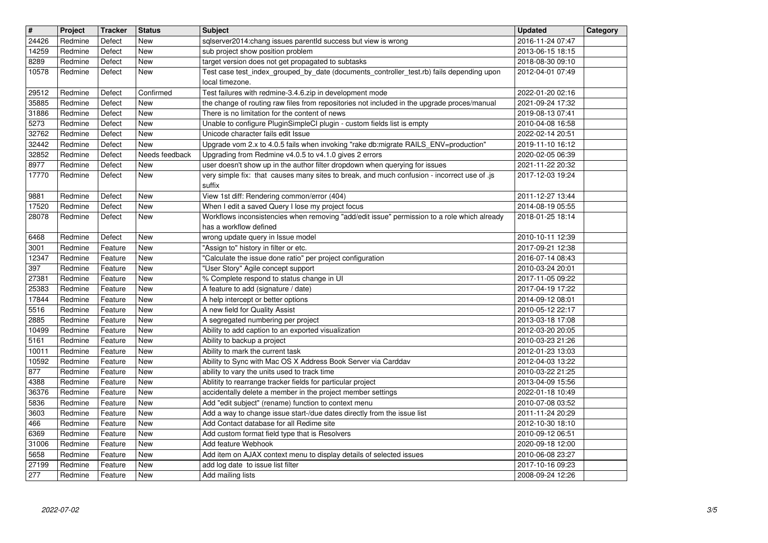| $\overline{\mathbf{r}}$ | Project            | <b>Tracker</b>     | <b>Status</b>            | <b>Subject</b>                                                                                                                                                             | <b>Updated</b>                       | Category |
|-------------------------|--------------------|--------------------|--------------------------|----------------------------------------------------------------------------------------------------------------------------------------------------------------------------|--------------------------------------|----------|
| 24426                   | Redmine            | Defect             | <b>New</b>               | sqlserver2014:chang issues parentld success but view is wrong                                                                                                              | 2016-11-24 07:47                     |          |
| 14259<br>8289           | Redmine<br>Redmine | Defect<br>Defect   | <b>New</b><br><b>New</b> | sub project show position problem<br>target version does not get propagated to subtasks                                                                                    | 2013-06-15 18:15<br>2018-08-30 09:10 |          |
| 10578                   | Redmine            | Defect             | <b>New</b>               | Test case test_index_grouped_by_date (documents_controller_test.rb) fails depending upon                                                                                   | 2012-04-01 07:49                     |          |
|                         |                    |                    |                          | local timezone.                                                                                                                                                            |                                      |          |
| 29512                   | Redmine            | Defect             | Confirmed                | Test failures with redmine-3.4.6.zip in development mode                                                                                                                   | 2022-01-20 02:16                     |          |
| 35885                   | Redmine<br>Redmine | Defect<br>Defect   | <b>New</b><br><b>New</b> | the change of routing raw files from repositories not included in the upgrade proces/manual<br>There is no limitation for the content of news                              | 2021-09-24 17:32<br>2019-08-13 07:41 |          |
| 31886<br>5273           | Redmine            | Defect             | <b>New</b>               | Unable to configure PluginSimpleCI plugin - custom fields list is empty                                                                                                    | 2010-04-08 16:58                     |          |
| 32762                   | Redmine            | Defect             | <b>New</b>               | Unicode character fails edit Issue                                                                                                                                         | 2022-02-14 20:51                     |          |
| 32442                   | Redmine            | Defect             | New                      | Upgrade vom 2.x to 4.0.5 fails when invoking "rake db:migrate RAILS_ENV=production"                                                                                        | 2019-11-10 16:12                     |          |
| 32852<br>8977           | Redmine<br>Redmine | Defect<br>Defect   | Needs feedback           | Upgrading from Redmine v4.0.5 to v4.1.0 gives 2 errors                                                                                                                     | 2020-02-05 06:39<br>2021-11-22 20:32 |          |
| 17770                   | Redmine            | Defect             | New<br>New               | user doesn't show up in the author filter dropdown when querying for issues<br>very simple fix: that causes many sites to break, and much confusion - incorrect use of .js | 2017-12-03 19:24                     |          |
|                         |                    |                    |                          | suffix                                                                                                                                                                     |                                      |          |
| 9881                    | Redmine            | Defect             | <b>New</b>               | View 1st diff: Rendering common/error (404)                                                                                                                                | 2011-12-27 13:44                     |          |
| 17520                   | Redmine            | Defect             | New                      | When I edit a saved Query I lose my project focus<br>Workflows inconsistencies when removing "add/edit issue" permission to a role which already                           | 2014-08-19 05:55                     |          |
| 28078                   | Redmine            | Defect             | New                      | has a workflow defined                                                                                                                                                     | 2018-01-25 18:14                     |          |
| 6468                    | Redmine            | Defect             | <b>New</b>               | wrong update query in Issue model                                                                                                                                          | 2010-10-11 12:39                     |          |
| 3001                    | Redmine            | Feature            | New                      | "Assign to" history in filter or etc.                                                                                                                                      | 2017-09-21 12:38                     |          |
| 12347<br>397            | Redmine<br>Redmine | Feature<br>Feature | <b>New</b><br><b>New</b> | "Calculate the issue done ratio" per project configuration<br>"User Story" Agile concept support                                                                           | 2016-07-14 08:43<br>2010-03-24 20:01 |          |
| 27381                   | Redmine            | Feature            | <b>New</b>               | % Complete respond to status change in UI                                                                                                                                  | 2017-11-05 09:22                     |          |
| 25383                   | Redmine            | Feature            | <b>New</b>               | A feature to add (signature / date)                                                                                                                                        | 2017-04-19 17:22                     |          |
| 17844                   | Redmine            | Feature            | New                      | A help intercept or better options                                                                                                                                         | 2014-09-12 08:01                     |          |
| 5516<br>2885            | Redmine<br>Redmine | Feature<br>Feature | New<br><b>New</b>        | A new field for Quality Assist                                                                                                                                             | 2010-05-12 22:17                     |          |
| 10499                   | Redmine            | Feature            | <b>New</b>               | A segregated numbering per project<br>Ability to add caption to an exported visualization                                                                                  | 2013-03-18 17:08<br>2012-03-20 20:05 |          |
| 5161                    | Redmine            | Feature            | <b>New</b>               | Ability to backup a project                                                                                                                                                | 2010-03-23 21:26                     |          |
| 10011                   | Redmine            | Feature            | <b>New</b>               | Ability to mark the current task                                                                                                                                           | 2012-01-23 13:03                     |          |
| 10592<br>877            | Redmine<br>Redmine | Feature<br>Feature | <b>New</b><br><b>New</b> | Ability to Sync with Mac OS X Address Book Server via Carddav<br>ability to vary the units used to track time                                                              | 2012-04-03 13:22                     |          |
| 4388                    | Redmine            | Feature            | <b>New</b>               | Ablitity to rearrange tracker fields for particular project                                                                                                                | 2010-03-22 21:25<br>2013-04-09 15:56 |          |
| 36376                   | Redmine            | Feature            | New                      | accidentally delete a member in the project member settings                                                                                                                | 2022-01-18 10:49                     |          |
| 5836                    | Redmine            | Feature            | New                      | Add "edit subject" (rename) function to context menu                                                                                                                       | 2010-07-08 03:52                     |          |
| 3603<br>466             | Redmine<br>Redmine | Feature            | <b>New</b><br>New        | Add a way to change issue start-/due dates directly from the issue list<br>Add Contact database for all Redime site                                                        | 2011-11-24 20:29<br>2012-10-30 18:10 |          |
| 6369                    | Redmine            | Feature<br>Feature | $\sqrt{\text{New}}$      | Add custom format field type that is Resolvers                                                                                                                             | 2010-09-12 06:51                     |          |
| 31006                   | Redmine            | Feature            | New                      | Add feature Webhook                                                                                                                                                        | 2020-09-18 12:00                     |          |
| 5658                    | Redmine            | Feature            | New                      | Add item on AJAX context menu to display details of selected issues                                                                                                        | 2010-06-08 23:27                     |          |
| 27199<br>277            | Redmine<br>Redmine | Feature<br>Feature | New<br>New               | add log date to issue list filter<br>Add mailing lists                                                                                                                     | 2017-10-16 09:23<br>2008-09-24 12:26 |          |
|                         |                    |                    |                          |                                                                                                                                                                            |                                      |          |
|                         |                    |                    |                          |                                                                                                                                                                            |                                      |          |
|                         |                    |                    |                          |                                                                                                                                                                            |                                      |          |
|                         |                    |                    |                          |                                                                                                                                                                            |                                      |          |
|                         |                    |                    |                          |                                                                                                                                                                            |                                      |          |
|                         |                    |                    |                          |                                                                                                                                                                            |                                      |          |
|                         |                    |                    |                          |                                                                                                                                                                            |                                      |          |
|                         |                    |                    |                          |                                                                                                                                                                            |                                      |          |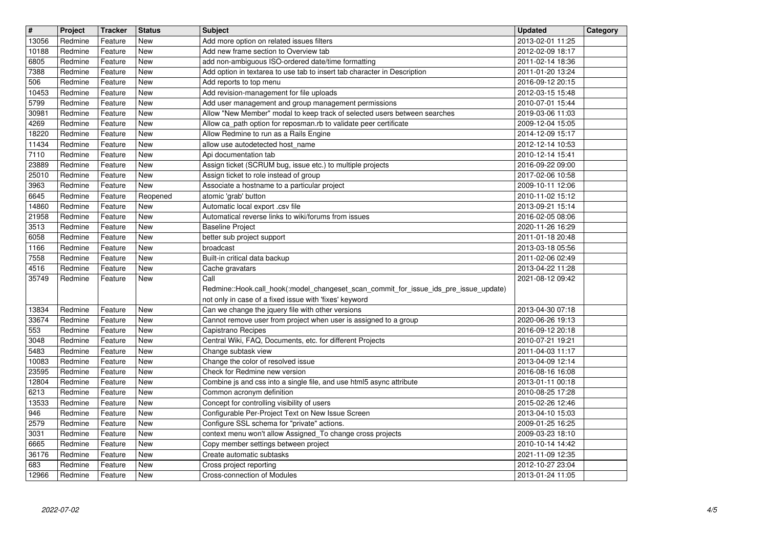| $\overline{\mathbf{H}}$ | Project            | <b>Tracker</b>     | <b>Status</b>            | <b>Subject</b>                                                                                                                    | <b>Updated</b>                       | Category |
|-------------------------|--------------------|--------------------|--------------------------|-----------------------------------------------------------------------------------------------------------------------------------|--------------------------------------|----------|
| 13056                   | Redmine            | Feature            | New                      | Add more option on related issues filters                                                                                         | 2013-02-01 11:25                     |          |
| 10188<br>6805           | Redmine<br>Redmine | Feature<br>Feature | <b>New</b><br><b>New</b> | Add new frame section to Overview tab<br>add non-ambiguous ISO-ordered date/time formatting                                       | 2012-02-09 18:17<br>2011-02-14 18:36 |          |
| 7388                    | Redmine            | Feature            | <b>New</b>               | Add option in textarea to use tab to insert tab character in Description                                                          | 2011-01-20 13:24                     |          |
| 506                     | Redmine            | Feature            | <b>New</b>               | Add reports to top menu                                                                                                           | 2016-09-12 20:15                     |          |
| 10453                   | Redmine            | Feature            | <b>New</b>               | Add revision-management for file uploads                                                                                          | 2012-03-15 15:48                     |          |
| 5799<br>30981           | Redmine<br>Redmine | Feature<br>Feature | <b>New</b><br><b>New</b> | Add user management and group management permissions<br>Allow "New Member" modal to keep track of selected users between searches | 2010-07-01 15:44<br>2019-03-06 11:03 |          |
| 4269                    | Redmine            | Feature            | <b>New</b>               | Allow ca_path option for reposman.rb to validate peer certificate                                                                 | 2009-12-04 15:05                     |          |
| 18220                   | Redmine            | Feature            | <b>New</b>               | Allow Redmine to run as a Rails Engine                                                                                            | 2014-12-09 15:17                     |          |
| 11434                   | Redmine            | Feature            | <b>New</b>               | allow use autodetected host_name                                                                                                  | 2012-12-14 10:53                     |          |
| 7110                    | Redmine            | Feature            | <b>New</b>               | Api documentation tab                                                                                                             | 2010-12-14 15:41                     |          |
| 23889<br>25010          | Redmine<br>Redmine | Feature<br>Feature | <b>New</b><br><b>New</b> | Assign ticket (SCRUM bug, issue etc.) to multiple projects<br>Assign ticket to role instead of group                              | 2016-09-22 09:00<br>2017-02-06 10:58 |          |
| 3963                    | Redmine            | Feature            | New                      | Associate a hostname to a particular project                                                                                      | 2009-10-11 12:06                     |          |
| 6645                    | Redmine            | Feature            | Reopened                 | atomic 'grab' button                                                                                                              | 2010-11-02 15:12                     |          |
| 14860                   | Redmine            | Feature            | <b>New</b>               | Automatic local export .csv file                                                                                                  | 2013-09-21 15:14                     |          |
| 21958<br>3513           | Redmine<br>Redmine | Feature<br>Feature | <b>New</b><br><b>New</b> | Automatical reverse links to wiki/forums from issues<br><b>Baseline Project</b>                                                   | 2016-02-05 08:06<br>2020-11-26 16:29 |          |
| 6058                    | Redmine            | Feature            | <b>New</b>               | better sub project support                                                                                                        | 2011-01-18 20:48                     |          |
| 1166                    | Redmine            | Feature            | <b>New</b>               | broadcast                                                                                                                         | 2013-03-18 05:56                     |          |
| 7558                    | Redmine            | Feature            | <b>New</b>               | Built-in critical data backup                                                                                                     | 2011-02-06 02:49                     |          |
| 4516<br>35749           | Redmine            | Feature            | <b>New</b><br>New        | Cache gravatars<br>Call                                                                                                           | 2013-04-22 11:28<br>2021-08-12 09:42 |          |
|                         | Redmine            | Feature            |                          | Redmine::Hook.call_hook(:model_changeset_scan_commit_for_issue_ids_pre_issue_update)                                              |                                      |          |
|                         |                    |                    |                          | not only in case of a fixed issue with 'fixes' keyword                                                                            |                                      |          |
| 13834                   | Redmine            | Feature            | <b>New</b>               | Can we change the jquery file with other versions                                                                                 | 2013-04-30 07:18                     |          |
| 33674                   | Redmine            | Feature            | <b>New</b>               | Cannot remove user from project when user is assigned to a group                                                                  | 2020-06-26 19:13                     |          |
| 553<br>3048             | Redmine<br>Redmine | Feature<br>Feature | <b>New</b><br><b>New</b> | Capistrano Recipes<br>Central Wiki, FAQ, Documents, etc. for different Projects                                                   | 2016-09-12 20:18<br>2010-07-21 19:21 |          |
| 5483                    | Redmine            | Feature            | <b>New</b>               | Change subtask view                                                                                                               | 2011-04-03 11:17                     |          |
| 10083                   | Redmine            | Feature            | <b>New</b>               | Change the color of resolved issue                                                                                                | 2013-04-09 12:14                     |          |
| 23595                   | Redmine            | Feature            | <b>New</b>               | Check for Redmine new version                                                                                                     | 2016-08-16 16:08                     |          |
| 12804                   | Redmine            | Feature            | New                      | Combine js and css into a single file, and use html5 async attribute                                                              | 2013-01-11 00:18                     |          |
| 6213<br>13533           | Redmine<br>Redmine | Feature<br>Feature | <b>New</b><br><b>New</b> | Common acronym definition<br>Concept for controlling visibility of users                                                          | 2010-08-25 17:28<br>2015-02-26 12:46 |          |
| 946                     | Redmine            | Feature            | <b>New</b>               | Configurable Per-Project Text on New Issue Screen                                                                                 | 2013-04-10 15:03                     |          |
| 2579                    | Redmine            | Feature            | <b>New</b>               | Configure SSL schema for "private" actions.                                                                                       | 2009-01-25 16:25                     |          |
| 3031                    | Redmine            | Feature            | <b>New</b>               | context menu won't allow Assigned_To change cross projects                                                                        | 2009-03-23 18:10                     |          |
| 6665<br>36176           | Redmine<br>Redmine | Feature<br>Feature | New<br>New               | Copy member settings between project<br>Create automatic subtasks                                                                 | 2010-10-14 14:42<br>2021-11-09 12:35 |          |
| 683                     | Redmine            | Feature            | New                      | Cross project reporting                                                                                                           | 2012-10-27 23:04                     |          |
| 12966                   | Redmine            | Feature            | New                      | Cross-connection of Modules                                                                                                       | 2013-01-24 11:05                     |          |
|                         |                    |                    |                          |                                                                                                                                   |                                      |          |
|                         |                    |                    |                          |                                                                                                                                   |                                      |          |
|                         |                    |                    |                          |                                                                                                                                   |                                      |          |
|                         |                    |                    |                          |                                                                                                                                   |                                      |          |
|                         |                    |                    |                          |                                                                                                                                   |                                      |          |
|                         |                    |                    |                          |                                                                                                                                   |                                      |          |
|                         |                    |                    |                          |                                                                                                                                   |                                      |          |
|                         |                    |                    |                          |                                                                                                                                   |                                      |          |
|                         |                    |                    |                          |                                                                                                                                   |                                      |          |
|                         |                    |                    |                          |                                                                                                                                   |                                      |          |
|                         |                    |                    |                          |                                                                                                                                   |                                      |          |
|                         |                    |                    |                          |                                                                                                                                   |                                      |          |
|                         |                    |                    |                          |                                                                                                                                   |                                      |          |
|                         |                    |                    |                          |                                                                                                                                   |                                      |          |